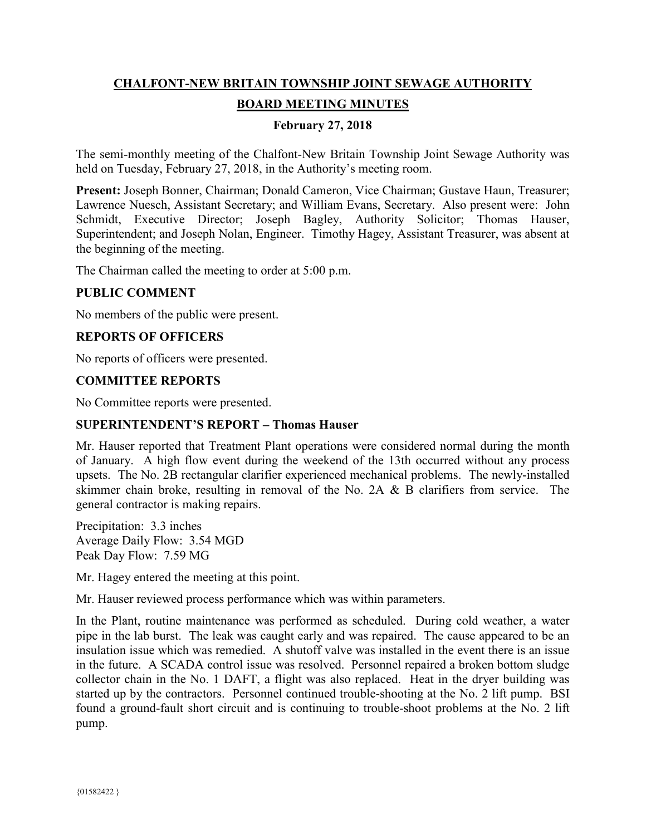# **CHALFONT-NEW BRITAIN TOWNSHIP JOINT SEWAGE AUTHORITY BOARD MEETING MINUTES**

### **February 27, 2018**

The semi-monthly meeting of the Chalfont-New Britain Township Joint Sewage Authority was held on Tuesday, February 27, 2018, in the Authority's meeting room.

**Present:** Joseph Bonner, Chairman; Donald Cameron, Vice Chairman; Gustave Haun, Treasurer; Lawrence Nuesch, Assistant Secretary; and William Evans, Secretary. Also present were: John Schmidt, Executive Director; Joseph Bagley, Authority Solicitor; Thomas Hauser, Superintendent; and Joseph Nolan, Engineer. Timothy Hagey, Assistant Treasurer, was absent at the beginning of the meeting.

The Chairman called the meeting to order at 5:00 p.m.

#### **PUBLIC COMMENT**

No members of the public were present.

#### **REPORTS OF OFFICERS**

No reports of officers were presented.

#### **COMMITTEE REPORTS**

No Committee reports were presented.

#### **SUPERINTENDENT'S REPORT – Thomas Hauser**

Mr. Hauser reported that Treatment Plant operations were considered normal during the month of January. A high flow event during the weekend of the 13th occurred without any process upsets. The No. 2B rectangular clarifier experienced mechanical problems. The newly-installed skimmer chain broke, resulting in removal of the No. 2A & B clarifiers from service. The general contractor is making repairs.

Precipitation: 3.3 inches Average Daily Flow: 3.54 MGD Peak Day Flow: 7.59 MG

Mr. Hagey entered the meeting at this point.

Mr. Hauser reviewed process performance which was within parameters.

In the Plant, routine maintenance was performed as scheduled. During cold weather, a water pipe in the lab burst. The leak was caught early and was repaired. The cause appeared to be an insulation issue which was remedied. A shutoff valve was installed in the event there is an issue in the future. A SCADA control issue was resolved. Personnel repaired a broken bottom sludge collector chain in the No. 1 DAFT, a flight was also replaced. Heat in the dryer building was started up by the contractors. Personnel continued trouble-shooting at the No. 2 lift pump. BSI found a ground-fault short circuit and is continuing to trouble-shoot problems at the No. 2 lift pump.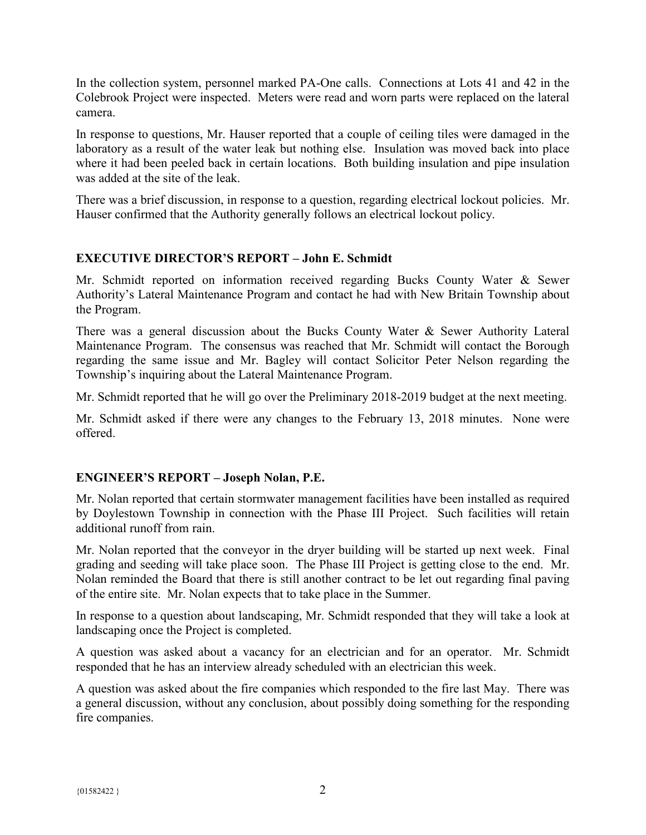In the collection system, personnel marked PA-One calls. Connections at Lots 41 and 42 in the Colebrook Project were inspected. Meters were read and worn parts were replaced on the lateral camera.

In response to questions, Mr. Hauser reported that a couple of ceiling tiles were damaged in the laboratory as a result of the water leak but nothing else. Insulation was moved back into place where it had been peeled back in certain locations. Both building insulation and pipe insulation was added at the site of the leak.

There was a brief discussion, in response to a question, regarding electrical lockout policies. Mr. Hauser confirmed that the Authority generally follows an electrical lockout policy.

## **EXECUTIVE DIRECTOR'S REPORT – John E. Schmidt**

Mr. Schmidt reported on information received regarding Bucks County Water & Sewer Authority's Lateral Maintenance Program and contact he had with New Britain Township about the Program.

There was a general discussion about the Bucks County Water & Sewer Authority Lateral Maintenance Program. The consensus was reached that Mr. Schmidt will contact the Borough regarding the same issue and Mr. Bagley will contact Solicitor Peter Nelson regarding the Township's inquiring about the Lateral Maintenance Program.

Mr. Schmidt reported that he will go over the Preliminary 2018-2019 budget at the next meeting.

Mr. Schmidt asked if there were any changes to the February 13, 2018 minutes. None were offered.

## **ENGINEER'S REPORT – Joseph Nolan, P.E.**

Mr. Nolan reported that certain stormwater management facilities have been installed as required by Doylestown Township in connection with the Phase III Project. Such facilities will retain additional runoff from rain.

Mr. Nolan reported that the conveyor in the dryer building will be started up next week. Final grading and seeding will take place soon. The Phase III Project is getting close to the end. Mr. Nolan reminded the Board that there is still another contract to be let out regarding final paving of the entire site. Mr. Nolan expects that to take place in the Summer.

In response to a question about landscaping, Mr. Schmidt responded that they will take a look at landscaping once the Project is completed.

A question was asked about a vacancy for an electrician and for an operator. Mr. Schmidt responded that he has an interview already scheduled with an electrician this week.

A question was asked about the fire companies which responded to the fire last May. There was a general discussion, without any conclusion, about possibly doing something for the responding fire companies.